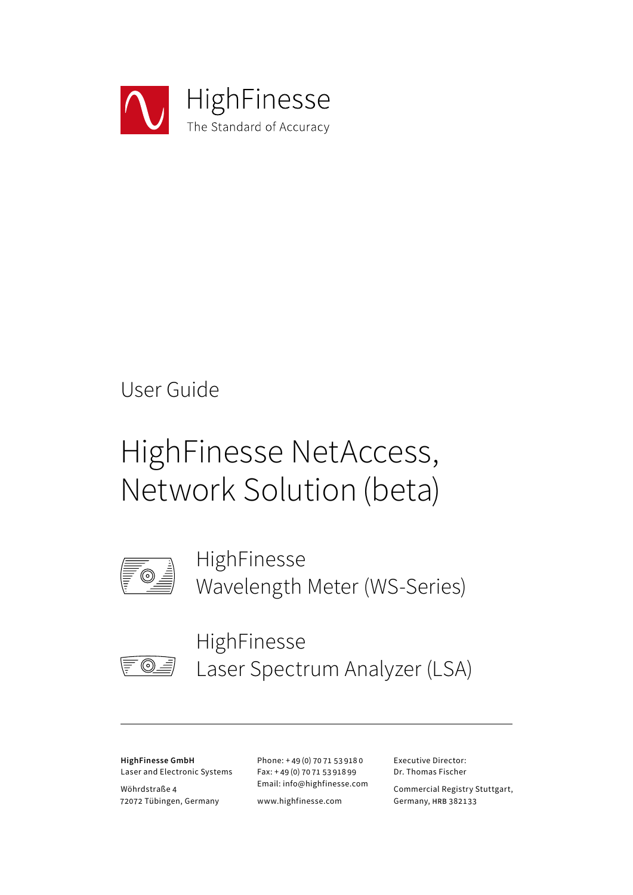

# User Guide

# HighFinesse NetAccess, Network Solution (beta)



HighFinesse Wavelength Meter (WS-Series)



HighFinesse Laser Spectrum Analyzer (LSA)

**HighFinesse GmbH** Laser and Electronic Systems

Wöhrdstraße 4 72072 Tübingen, Germany Phone: + 49 (0) 70 71 53 918 0 Fax: + 49 (0) 70 71 53 918 99 Email: info@highfinesse.com

www.highfinesse.com

Executive Director: Dr. Thomas Fischer

Commercial Registry Stuttgart, Germany, HRB 382133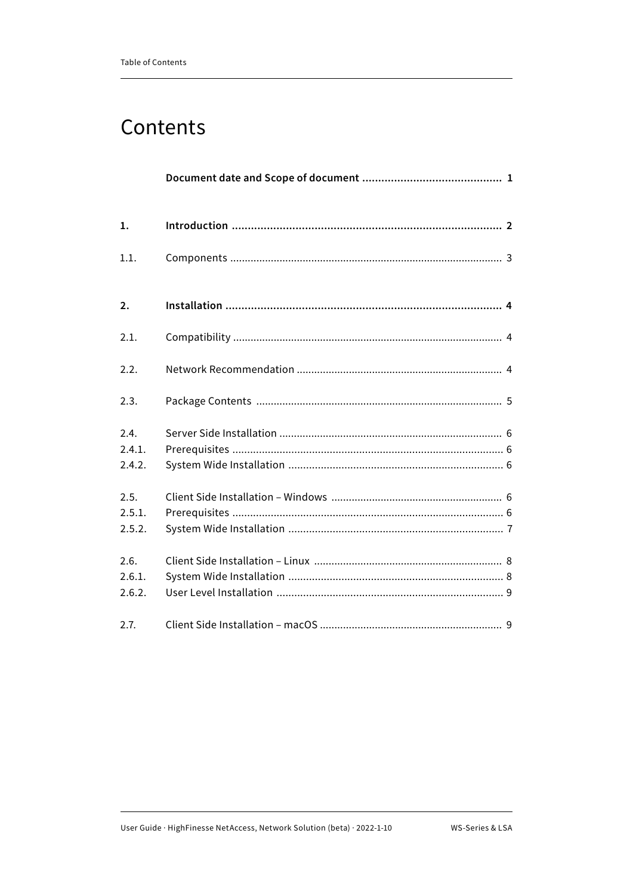# Contents

| 1.                       |  |
|--------------------------|--|
| 1.1.                     |  |
| $\mathbf{2}$             |  |
| 2.1.                     |  |
| 2.2.                     |  |
| 2.3.                     |  |
| 2.4.<br>2.4.1.<br>2.4.2. |  |
| 2.5.<br>2.5.1.<br>2.5.2. |  |
| 2.6.<br>2.6.1.<br>2.6.2. |  |
| 2.7.                     |  |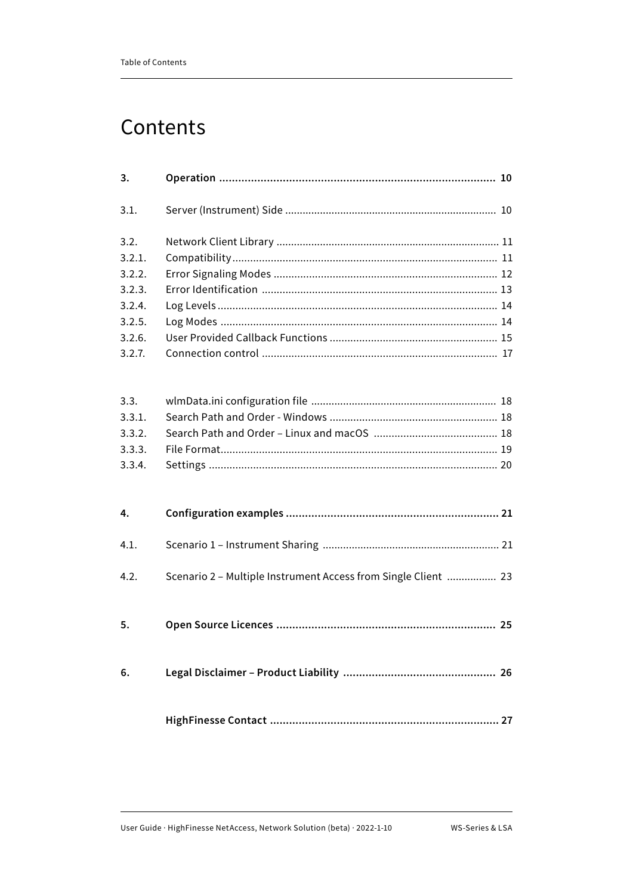# Contents

| 3.     |                                                                |  |
|--------|----------------------------------------------------------------|--|
| 3.1.   |                                                                |  |
| 3.2.   |                                                                |  |
| 3.2.1. |                                                                |  |
| 3.2.2. |                                                                |  |
| 3.2.3. |                                                                |  |
| 3.2.4. |                                                                |  |
| 3.2.5. |                                                                |  |
| 3.2.6. |                                                                |  |
| 3.2.7. |                                                                |  |
|        |                                                                |  |
| 3.3.   |                                                                |  |
| 3.3.1. |                                                                |  |
| 3.3.2. |                                                                |  |
| 3.3.3. |                                                                |  |
| 3.3.4. |                                                                |  |
| 4.     |                                                                |  |
| 4.1.   |                                                                |  |
| 4.2.   | Scenario 2 - Multiple Instrument Access from Single Client  23 |  |
| 5.     |                                                                |  |
| 6.     |                                                                |  |
|        |                                                                |  |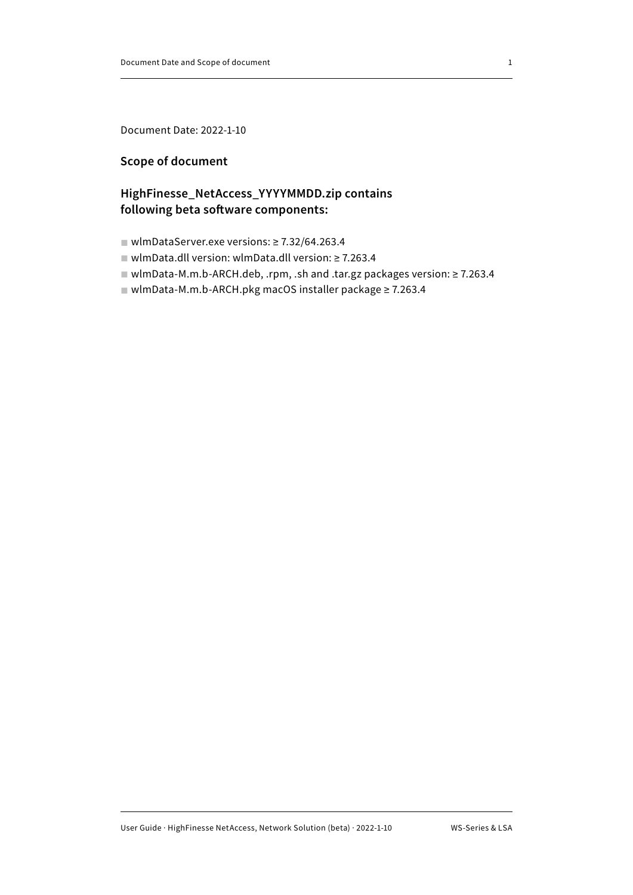<span id="page-3-0"></span>Document Date: 2022-1-10

### **Scope of document**

# **HighFinesse\_NetAccess\_YYYYMMDD.zip contains following beta software components:**

- wlmDataServer.exe versions: ≥ 7.32/64.263.4
- wlmData.dll version: wlmData.dll version: ≥ 7.263.4
- wlmData-M.m.b-ARCH.deb, .rpm, .sh and .tar.gz packages version: ≥ 7.263.4
- wlmData-M.m.b-ARCH.pkg macOS installer package ≥ 7.263.4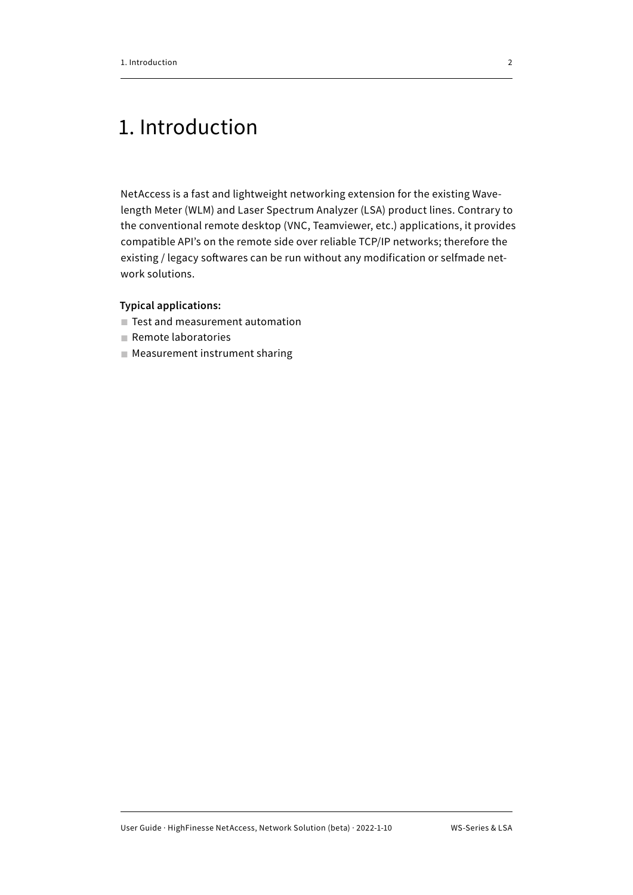# <span id="page-4-0"></span>1. Introduction

NetAccess is a fast and lightweight networking extension for the existing Wavelength Meter (WLM) and Laser Spectrum Analyzer (LSA) product lines. Contrary to the conventional remote desktop (VNC, Teamviewer, etc.) applications, it provides compatible API's on the remote side over reliable TCP/IP networks; therefore the existing / legacy softwares can be run without any modification or selfmade network solutions.

#### **Typical applications:**

- Test and measurement automation
- Remote laboratories
- Measurement instrument sharing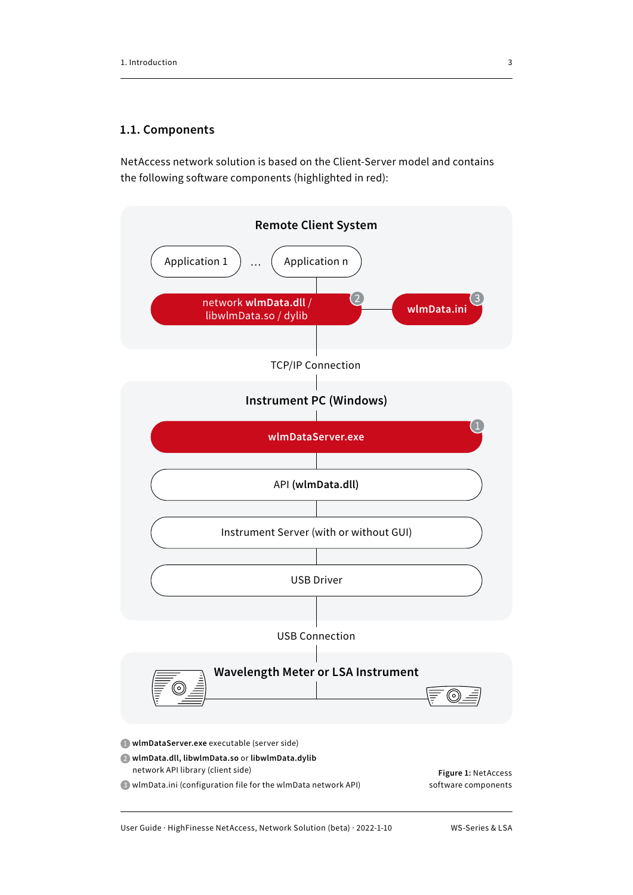#### <span id="page-5-0"></span>**1.1. Components**

NetAccess network solution is based on the Client-Server model and contains the following software components (highlighted in red):



User Guide · HighFinesse NetAccess, Network Solution (beta) · 2022-1-10 WS-Series & LSA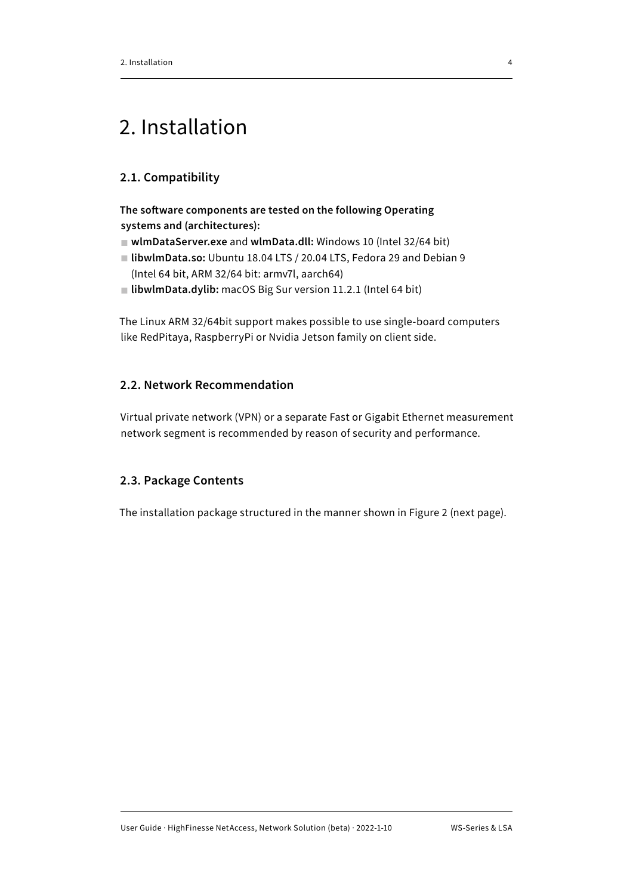# <span id="page-6-0"></span>2. Installation

# **2.1. Compatibility**

**The software components are tested on the following Operating systems and (architectures):**

- **wlmDataServer.exe** and **wlmData.dll:** Windows 10 (Intel 32/64 bit)
- **libwlmData.so:** Ubuntu 18.04 LTS / 20.04 LTS, Fedora 29 and Debian 9 (Intel 64 bit, ARM 32/64 bit: armv7l, aarch64)
- **libwlmData.dylib:** macOS Big Sur version 11.2.1 (Intel 64 bit)

The Linux ARM 32/64bit support makes possible to use single-board computers like RedPitaya, RaspberryPi or Nvidia Jetson family on client side.

# **2.2. Network Recommendation**

Virtual private network (VPN) or a separate Fast or Gigabit Ethernet measurement network segment is recommended by reason of security and performance.

# **2.3. Package Contents**

The installation package structured in the manner shown in Figure 2 (next page).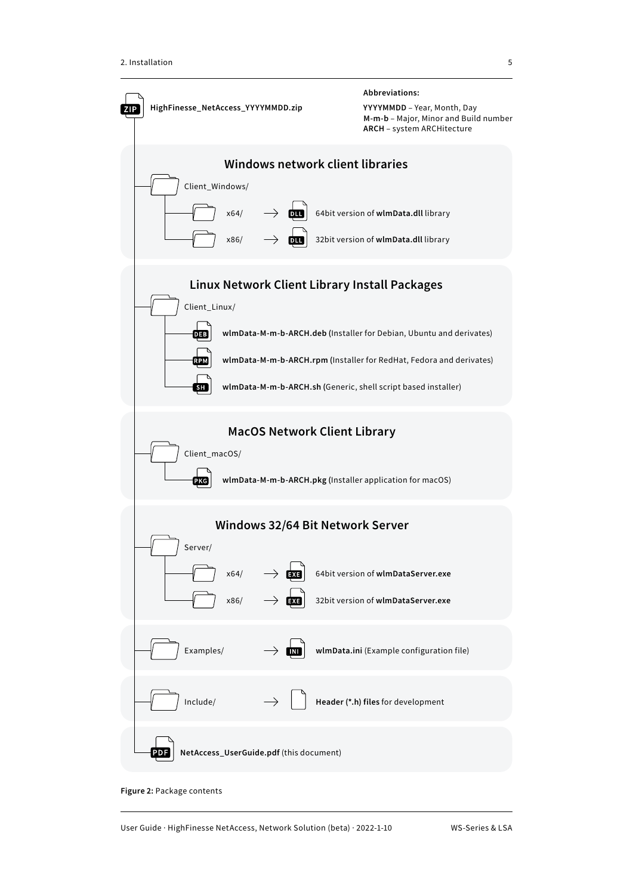<span id="page-7-0"></span>

**Figure 2:** Package contents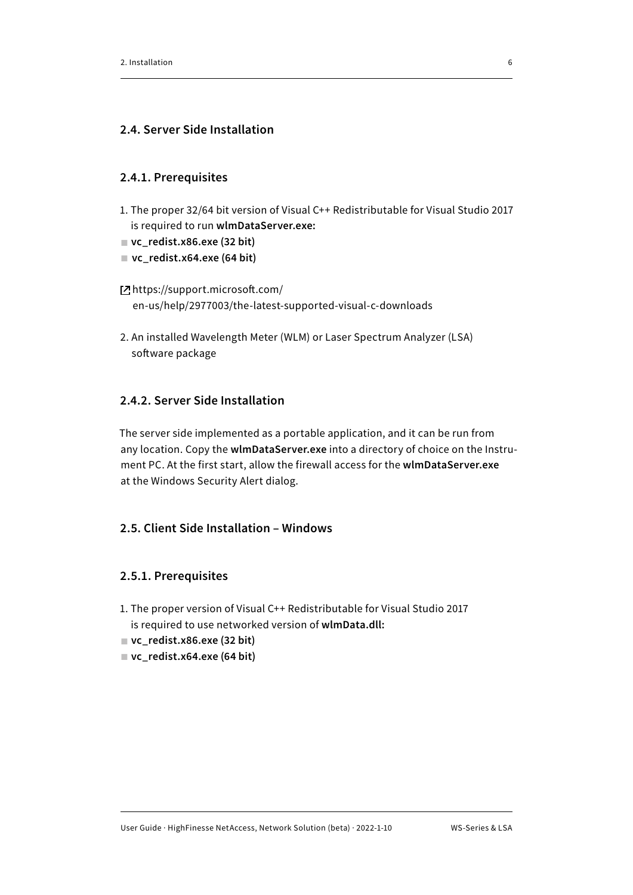### <span id="page-8-0"></span>**2.4. Server Side Installation**

#### **2.4.1. Prerequisites**

- 1. The proper 32/64 bit version of Visual C++ Redistributable for Visual Studio 2017 is required to run **wlmDataServer.exe:**
- vc\_redist.x86.exe (32 bit)
- **vc\_redist.x64.exe (64 bit)**

# https://support.microsoft.com/ [en-us/help/2977003/the-latest-supported-visual-c-downloads](https://support.microsoft.com/en-us/topic/the-latest-supported-visual-c-downloads-2647da03-1eea-4433-9aff-95f26a218cc0)

2. An installed Wavelength Meter (WLM) or Laser Spectrum Analyzer (LSA) software package

# **2.4.2. Server Side Installation**

The server side implemented as a portable application, and it can be run from any location. Copy the **wlmDataServer.exe** into a directory of choice on the Instrument PC. At the first start, allow the firewall access for the **wlmDataServer.exe** at the Windows Security Alert dialog.

# **2.5. Client Side Installation – Windows**

# **2.5.1. Prerequisites**

- 1. The proper version of Visual C++ Redistributable for Visual Studio 2017 is required to use networked version of **wlmData.dll:**
- vc\_redist.x86.exe (32 bit)
- vc\_redist.x64.exe (64 bit)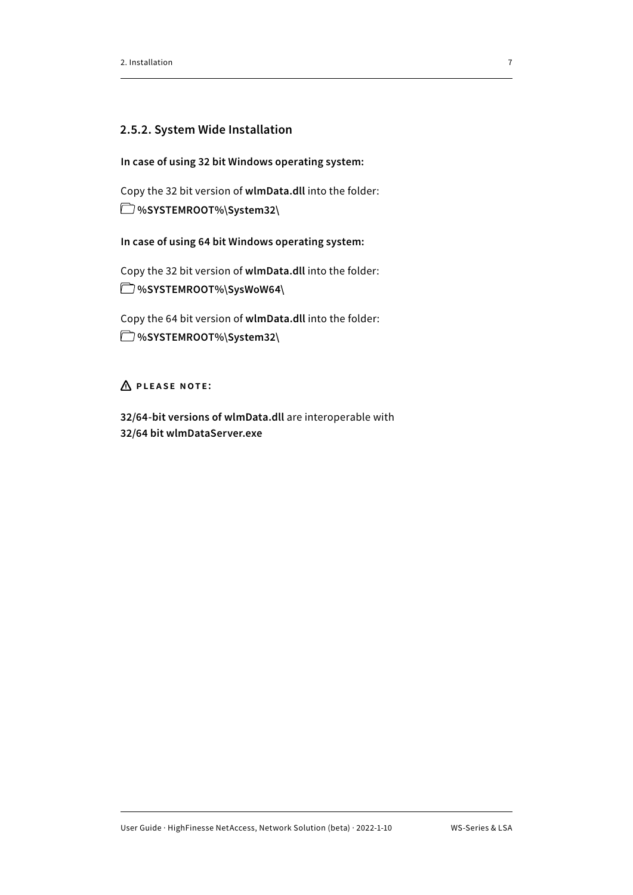#### <span id="page-9-0"></span>**2.5.2. System Wide Installation**

**In case of using 32 bit Windows operating system:**

Copy the 32 bit version of **wlmData.dll** into the folder:  **%SYSTEMROOT%\System32\**

**In case of using 64 bit Windows operating system:**

Copy the 32 bit version of **wlmData.dll** into the folder:  **%SYSTEMROOT%\SysWoW64\**

Copy the 64 bit version of **wlmData.dll** into the folder:  **%SYSTEMROOT%\System32\**

# **Please note:**

**32/64-bit versions of wlmData.dll** are interoperable with **32/64 bit wlmDataServer.exe**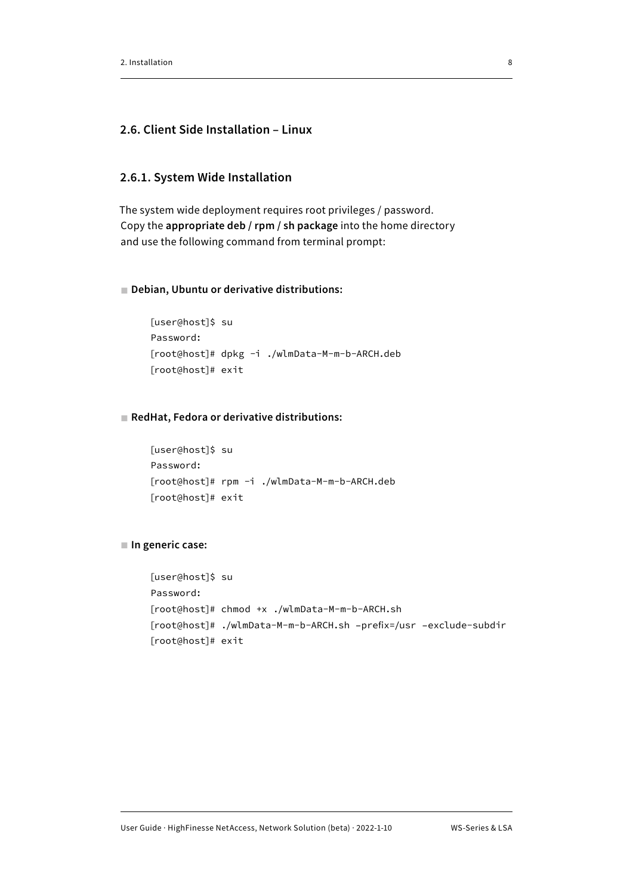# <span id="page-10-0"></span>**2.6. Client Side Installation – Linux**

#### **2.6.1. System Wide Installation**

The system wide deployment requires root privileges / password. Copy the **appropriate deb / rpm / sh package** into the home directory and use the following command from terminal prompt:

#### ■ **Debian, Ubuntu or derivative distributions:**

```
[user@host]$ su
Password:
[root@host]# dpkg -i ./wlmData-M-m-b-ARCH.deb
[root@host]# exit
```
#### ■ **RedHat, Fedora or derivative distributions:**

[user@host]\$ su Password: [root@host]# rpm -i ./wlmData-M-m-b-ARCH.deb [root@host]# exit

```
■ In generic case:
```

```
[user@host]$ su
Password:
[root@host]# chmod +x ./wlmData-M-m-b-ARCH.sh
[root@host]# ./wlmData-M-m-b-ARCH.sh –prefix=/usr –exclude-subdir
[root@host]# exit
```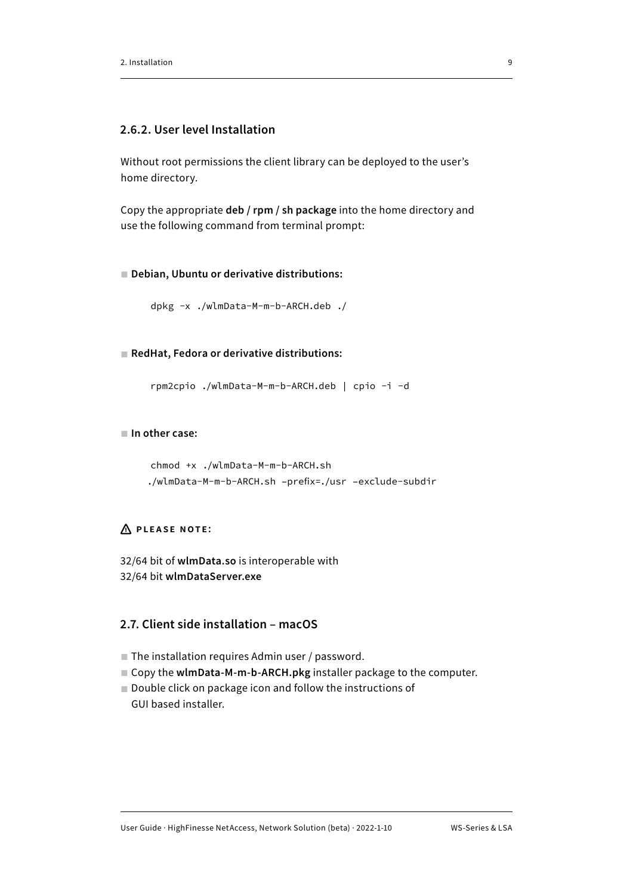### <span id="page-11-0"></span>**2.6.2. User level Installation**

Without root permissions the client library can be deployed to the user's home directory.

Copy the appropriate **deb / rpm / sh package** into the home directory and use the following command from terminal prompt:

#### ■ **Debian, Ubuntu or derivative distributions:**

```
dpkg -x ./wlmData-M-m-b-ARCH.deb ./
```
■ **RedHat, Fedora or derivative distributions:**

```
rpm2cpio ./wlmData-M-m-b-ARCH.deb | cpio -i -d
```
#### ■ **In other case:**

```
chmod +x ./wlmData-M-m-b-ARCH.sh
./wlmData-M-m-b-ARCH.sh –prefix=./usr –exclude-subdir
```
# **Please note:**

32/64 bit of **wlmData.so** is interoperable with 32/64 bit **wlmDataServer.exe**

# **2.7. Client side installation – macOS**

- The installation requires Admin user / password.
- Copy the w**lmData-M-m-b-ARCH.pkg** installer package to the computer.
- Double click on package icon and follow the instructions of GUI based installer.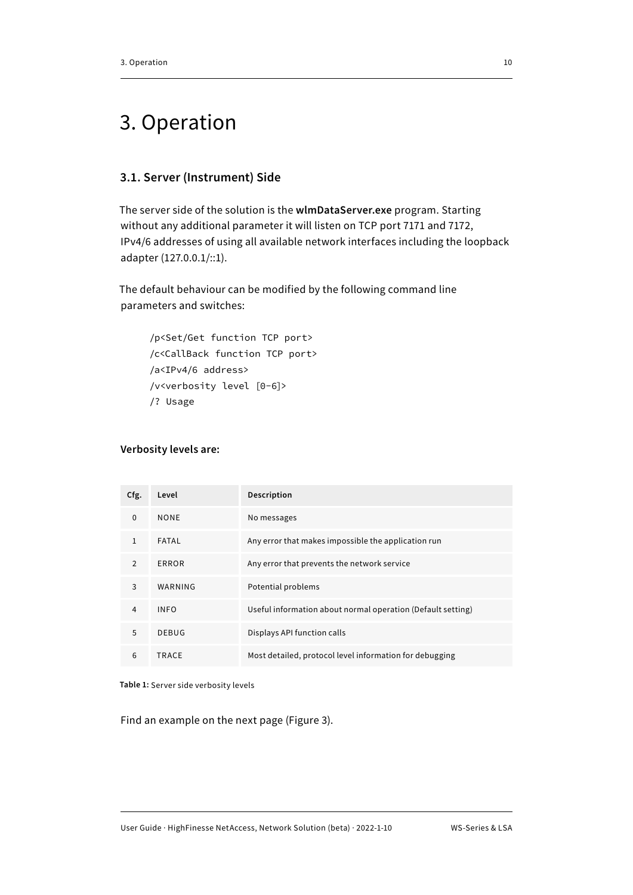# <span id="page-12-0"></span>3. Operation

# **3.1. Server (Instrument) Side**

The server side of the solution is the **wlmDataServer.exe** program. Starting without any additional parameter it will listen on TCP port 7171 and 7172, IPv4/6 addresses of using all available network interfaces including the loopback adapter (127.0.0.1/::1).

The default behaviour can be modified by the following command line parameters and switches:

```
/p<Set/Get function TCP port>
/c<CallBack function TCP port>
/a<IPv4/6 address>
/v<verbosity level [0-6]>
/? Usage
```
#### **Verbosity levels are:**

| Cfg.           | Level        | Description                                                 |
|----------------|--------------|-------------------------------------------------------------|
| $\mathbf 0$    | <b>NONE</b>  | No messages                                                 |
| $\mathbf{1}$   | FATAL        | Any error that makes impossible the application run         |
| 2              | ERROR        | Any error that prevents the network service                 |
| 3              | WARNING      | Potential problems                                          |
| $\overline{4}$ | <b>INFO</b>  | Useful information about normal operation (Default setting) |
| 5              | <b>DEBUG</b> | Displays API function calls                                 |
| 6              | TRACE        | Most detailed, protocol level information for debugging     |

**Table 1:** Server side verbosity levels

Find an example on the next page (Figure 3).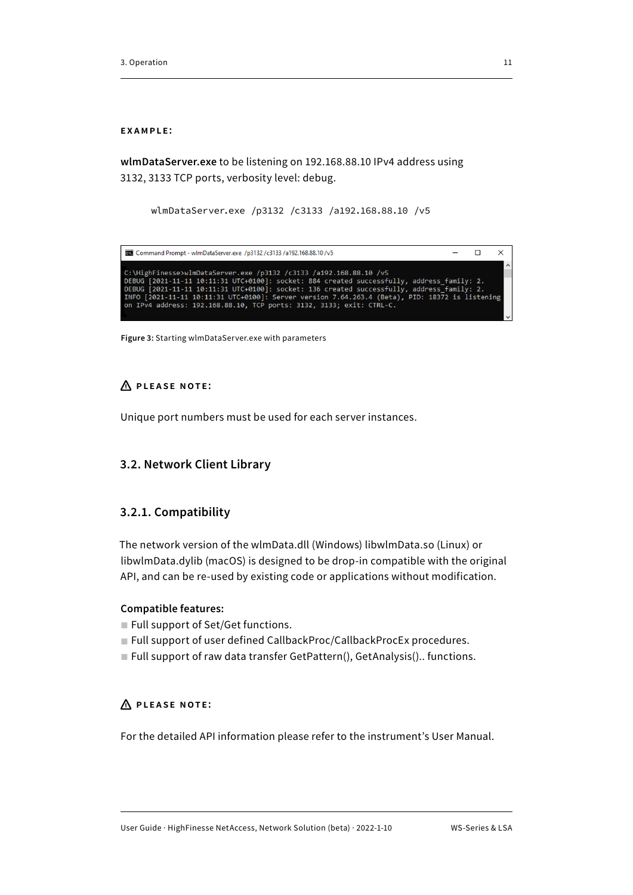#### <span id="page-13-0"></span>**example:**

**wlmDataServer.exe** to be listening on 192.168.88.10 IPv4 address using 3132, 3133 TCP ports, verbosity level: debug.

```
wlmDataServer.exe /p3132 /c3133 /a192.168.88.10 /v5
```

| <b>ELE</b> Command Prompt - wimDataServer.exe /p3132/c3133/a192.168.88.10/v5                   |  |        |
|------------------------------------------------------------------------------------------------|--|--------|
|                                                                                                |  | $\sim$ |
| C:\HighFinesse>wlmDataServer.exe /p3132 /c3133 /a192.168.88.10 /v5                             |  |        |
| DEBUG [2021-11-11 10:11:31 UTC+0100]: socket: 884 created successfully, address family: 2.     |  |        |
| DEBUG [2021-11-11 10:11:31 UTC+0100]: socket: 136 created successfully, address family: 2.     |  |        |
| INFO [2021-11-11 10:11:31 UTC+0100]: Server version 7.64.263.4 (Beta), PID: 18372 is listening |  |        |
| on IPv4 address: 192.168.88.10, TCP ports: 3132, 3133; exit: CTRL-C.                           |  |        |
|                                                                                                |  |        |

**Figure 3:** Starting wlmDataServer.exe with parameters

#### **Please note:**

Unique port numbers must be used for each server instances.

#### **3.2. Network Client Library**

#### **3.2.1. Compatibility**

The network version of the wlmData.dll (Windows) libwlmData.so (Linux) or libwlmData.dylib (macOS) is designed to be drop-in compatible with the original API, and can be re-used by existing code or applications without modification.

#### **Compatible features:**

- Full support of Set/Get functions.
- Full support of user defined CallbackProc/CallbackProcEx procedures.
- Full support of raw data transfer GetPattern(), GetAnalysis().. functions.

# **Please note:**

For the detailed API information please refer to the instrument's User Manual.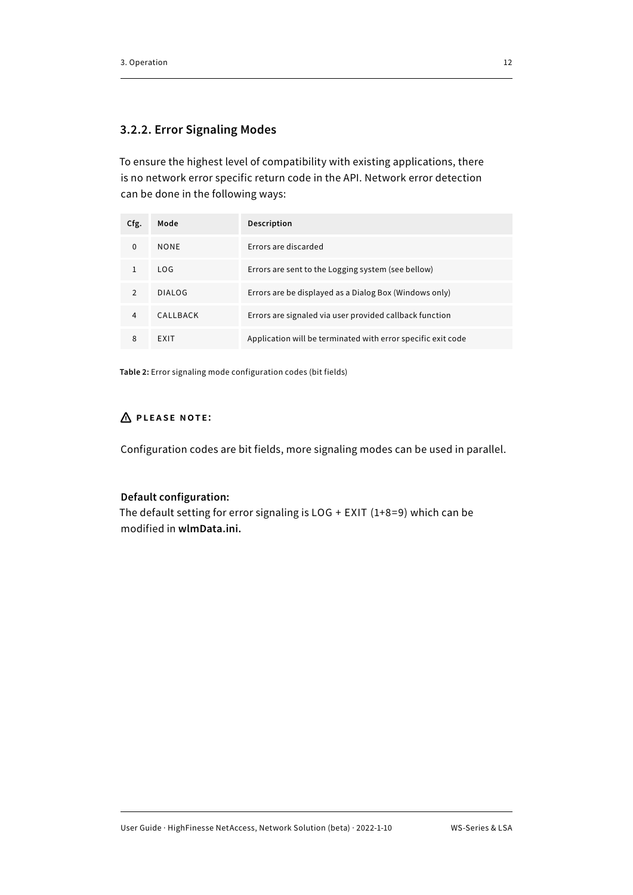# <span id="page-14-0"></span>**3.2.2. Error Signaling Modes**

To ensure the highest level of compatibility with existing applications, there is no network error specific return code in the API. Network error detection can be done in the following ways:

| Cfg.         | Mode        | Description                                                  |
|--------------|-------------|--------------------------------------------------------------|
| $\Omega$     | <b>NONF</b> | Errors are discarded                                         |
|              | LOG.        | Errors are sent to the Logging system (see bellow)           |
| <sup>2</sup> | DIALOG      | Errors are be displayed as a Dialog Box (Windows only)       |
| 4            | CALLBACK    | Errors are signaled via user provided callback function      |
| 8            | EXIT        | Application will be terminated with error specific exit code |

**Table 2:** Error signaling mode configuration codes (bit fields)

# **Please note:**

Configuration codes are bit fields, more signaling modes can be used in parallel.

# **Default configuration:**

The default setting for error signaling is LOG + EXIT (1+8=9) which can be modified in **wlmData.ini.**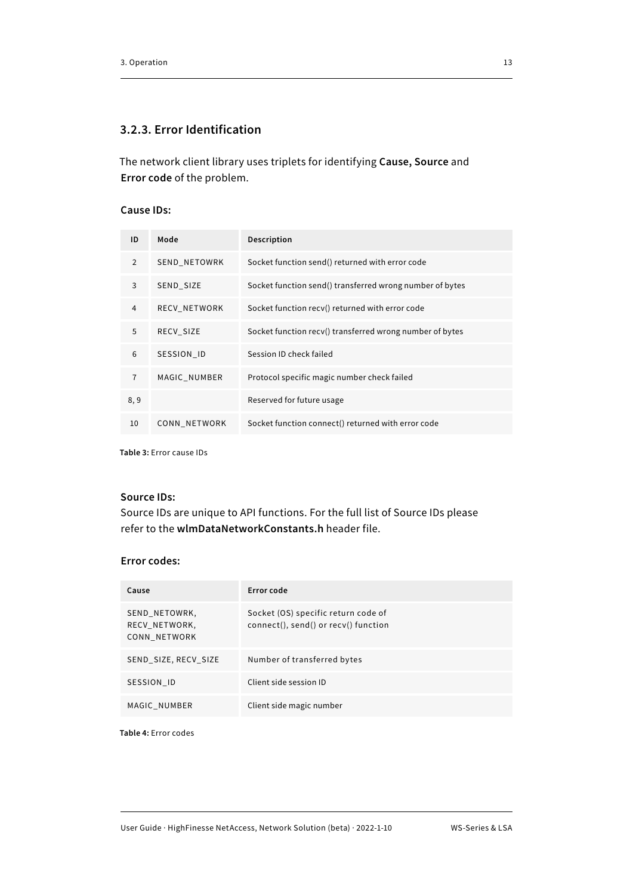### <span id="page-15-0"></span>**3.2.3. Error Identification**

The network client library uses triplets for identifying **Cause, Source** and **Error code** of the problem.

#### **Cause IDs:**

| ID             | Mode                | Description                                              |
|----------------|---------------------|----------------------------------------------------------|
| 2              | <b>SEND NETOWRK</b> | Socket function send() returned with error code          |
| 3              | SEND_SIZE           | Socket function send() transferred wrong number of bytes |
| 4              | <b>RECV NETWORK</b> | Socket function recv() returned with error code          |
| 5              | RECV SIZE           | Socket function recv() transferred wrong number of bytes |
| 6              | SESSION ID          | Session ID check failed                                  |
| $\overline{7}$ | MAGIC NUMBER        | Protocol specific magic number check failed              |
| 8,9            |                     | Reserved for future usage                                |
| 10             | CONN NETWORK        | Socket function connect() returned with error code       |

**Table 3:** Error cause IDs

#### **Source IDs:**

Source IDs are unique to API functions. For the full list of Source IDs please refer to the **wlmDataNetworkConstants.h** header file.

#### **Error codes:**

| Cause                                          | Error code                                                                  |
|------------------------------------------------|-----------------------------------------------------------------------------|
| SEND NETOWRK,<br>RECV NETWORK,<br>CONN NETWORK | Socket (OS) specific return code of<br>connect(), send() or recv() function |
| SEND SIZE, RECV SIZE                           | Number of transferred bytes                                                 |
| SESSION ID                                     | Client side session ID                                                      |
| MAGIC NUMBER                                   | Client side magic number                                                    |

**Table 4:** Error codes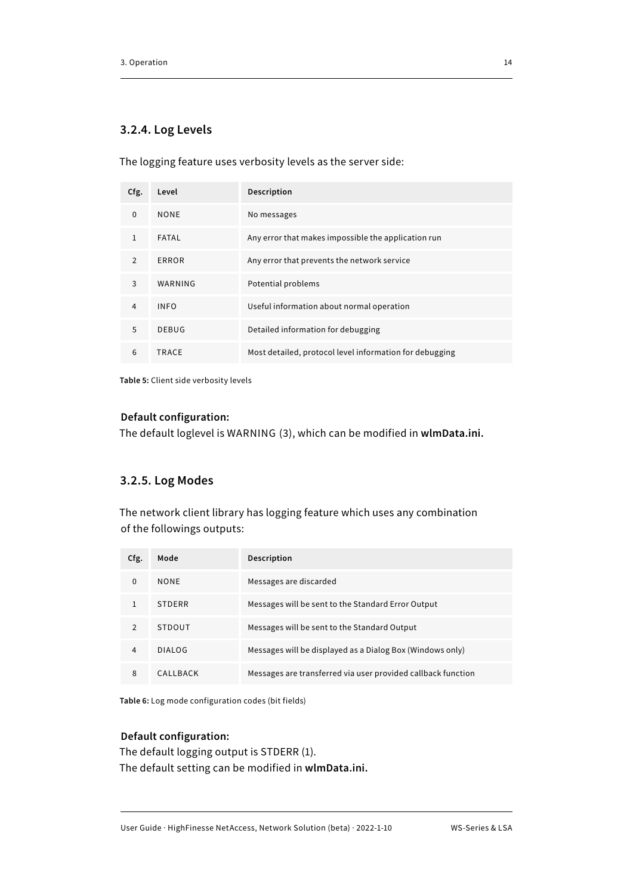### <span id="page-16-0"></span>**3.2.4. Log Levels**

The logging feature uses verbosity levels as the server side:

| Cfg.           | Level        | Description                                             |
|----------------|--------------|---------------------------------------------------------|
| $\mathbf 0$    | <b>NONE</b>  | No messages                                             |
| 1              | FATAL        | Any error that makes impossible the application run     |
| $\overline{2}$ | ERROR        | Any error that prevents the network service             |
| 3              | WARNING      | Potential problems                                      |
| $\overline{4}$ | <b>INFO</b>  | Useful information about normal operation               |
| 5              | <b>DEBUG</b> | Detailed information for debugging                      |
| 6              | TRACE        | Most detailed, protocol level information for debugging |

**Table 5:** Client side verbosity levels

#### **Default configuration:**

The default loglevel is WARNING (3), which can be modified in **wlmData.ini.**

#### **3.2.5. Log Modes**

The network client library has logging feature which uses any combination of the followings outputs:

| Cfg.     | Mode          | <b>Description</b>                                           |
|----------|---------------|--------------------------------------------------------------|
| $\Omega$ | <b>NONF</b>   | Messages are discarded                                       |
| 1        | <b>STDFRR</b> | Messages will be sent to the Standard Error Output           |
| 2        | STDOUT        | Messages will be sent to the Standard Output                 |
| 4        | <b>DIALOG</b> | Messages will be displayed as a Dialog Box (Windows only)    |
| 8        | CALLBACK      | Messages are transferred via user provided callback function |

**Table 6:** Log mode configuration codes (bit fields)

#### **Default configuration:**

The default logging output is STDERR (1). The default setting can be modified in **wlmData.ini.**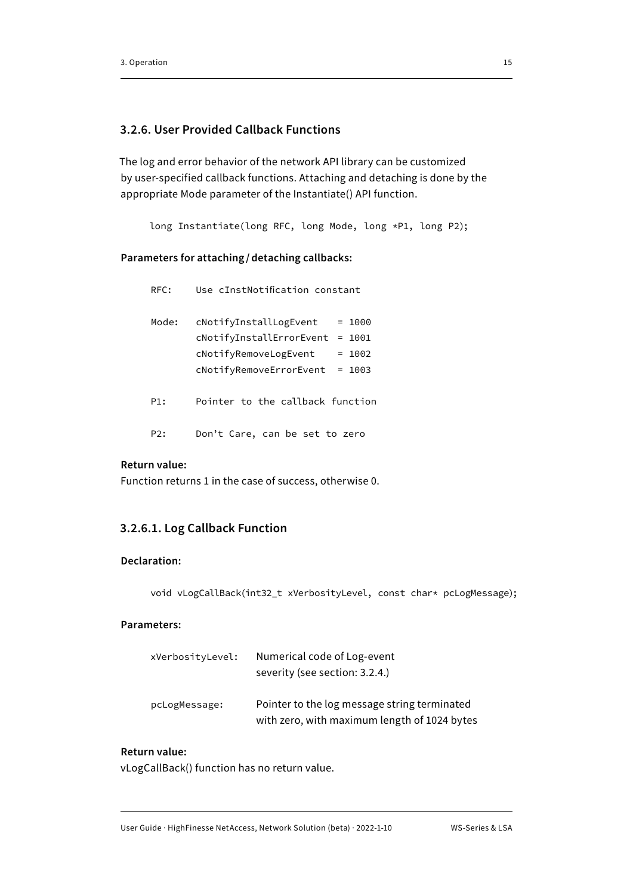### <span id="page-17-0"></span>**3.2.6. User Provided Callback Functions**

The log and error behavior of the network API library can be customized by user-specified callback functions. Attaching and detaching is done by the appropriate Mode parameter of the Instantiate() API function.

long Instantiate(long RFC, long Mode, long \*P1, long P2);

#### **Parameters for attaching / detaching callbacks:**

| RFC:  | Use cInstNotification constant       |
|-------|--------------------------------------|
| Mode: | cNotifyInstallLogEvent<br>$= 1000$   |
|       | cNotifyInstallErrorEvent<br>$= 1001$ |
|       | cNotifyRemoveLogEvent<br>$= 1002$    |
|       | cNotifyRemoveErrorEvent<br>$= 1003$  |
| P1:   | Pointer to the callback function     |
| P2:   | Don't Care, can be set to zero       |

# **Return value:**

Function returns 1 in the case of success, otherwise 0.

#### **3.2.6.1. Log Callback Function**

#### **Declaration:**

void vLogCallBack(int32\_t xVerbosityLevel, const char\* pcLogMessage);

#### **Parameters:**

| xVerbosityLevel: | Numerical code of Log-event<br>severity (see section: 3.2.4.)                                |
|------------------|----------------------------------------------------------------------------------------------|
| pcLogMessage:    | Pointer to the log message string terminated<br>with zero, with maximum length of 1024 bytes |

#### **Return value:**

vLogCallBack() function has no return value.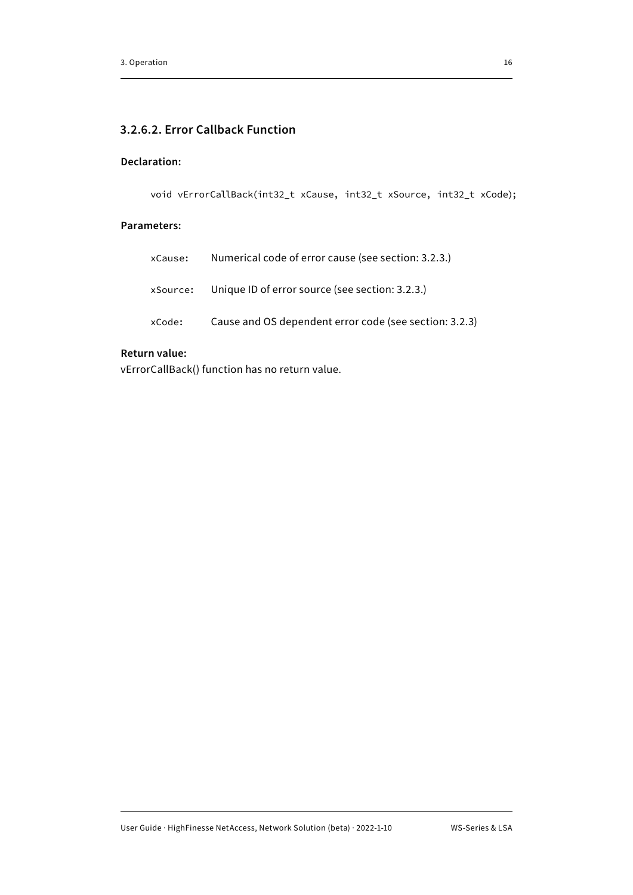# **3.2.6.2. Error Callback Function**

### **Declaration:**

void vErrorCallBack(int32\_t xCause, int32\_t xSource, int32\_t xCode);

#### **Parameters:**

| xCause: | Numerical code of error cause (see section: 3.2.3.)      |
|---------|----------------------------------------------------------|
|         | xSource: Unique ID of error source (see section: 3.2.3.) |
| xCode:  | Cause and OS dependent error code (see section: 3.2.3)   |

#### **Return value:**

vErrorCallBack() function has no return value.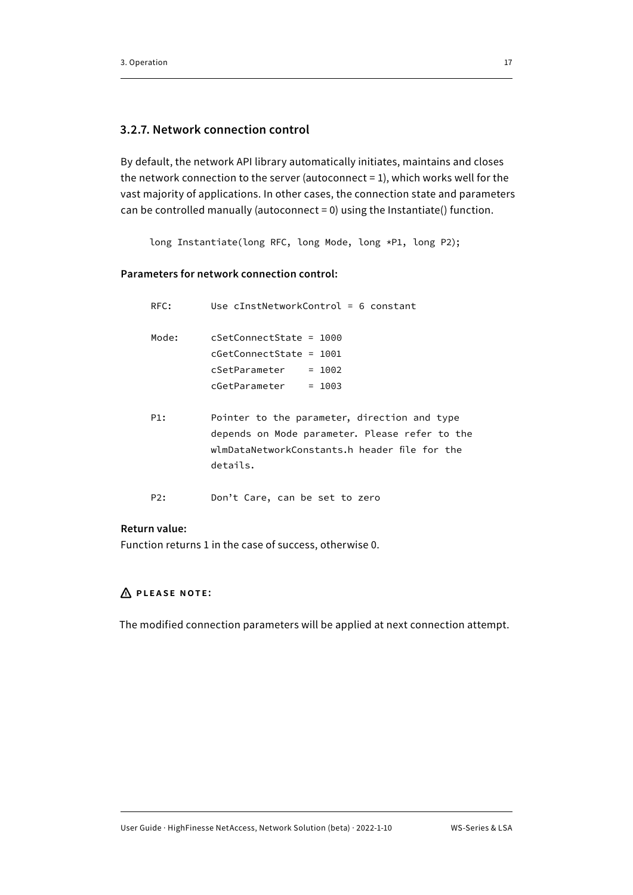### <span id="page-19-0"></span>**3.2.7. Network connection control**

By default, the network API library automatically initiates, maintains and closes the network connection to the server (autoconnect = 1), which works well for the vast majority of applications. In other cases, the connection state and parameters can be controlled manually (autoconnect = 0) using the Instantiate() function.

long Instantiate(long RFC, long Mode, long \*P1, long P2);

### **Parameters for network connection control:**

| RFC:  | Use $cInstNetworkControl = 6 constant$                                                                                                                      |  |  |
|-------|-------------------------------------------------------------------------------------------------------------------------------------------------------------|--|--|
| Mode: | cSetConnectState = 1000<br>$cGetConnectState = 1001$<br>cSetParameter = 1002<br>$cGetParameter = 1003$                                                      |  |  |
| P1:   | Pointer to the parameter, direction and type<br>depends on Mode parameter. Please refer to the<br>wlmDataNetworkConstants.h header file for the<br>details. |  |  |
| P2:   | Don't Care, can be set to zero                                                                                                                              |  |  |

#### **Return value:**

Function returns 1 in the case of success, otherwise 0.

# **Please note:**

The modified connection parameters will be applied at next connection attempt.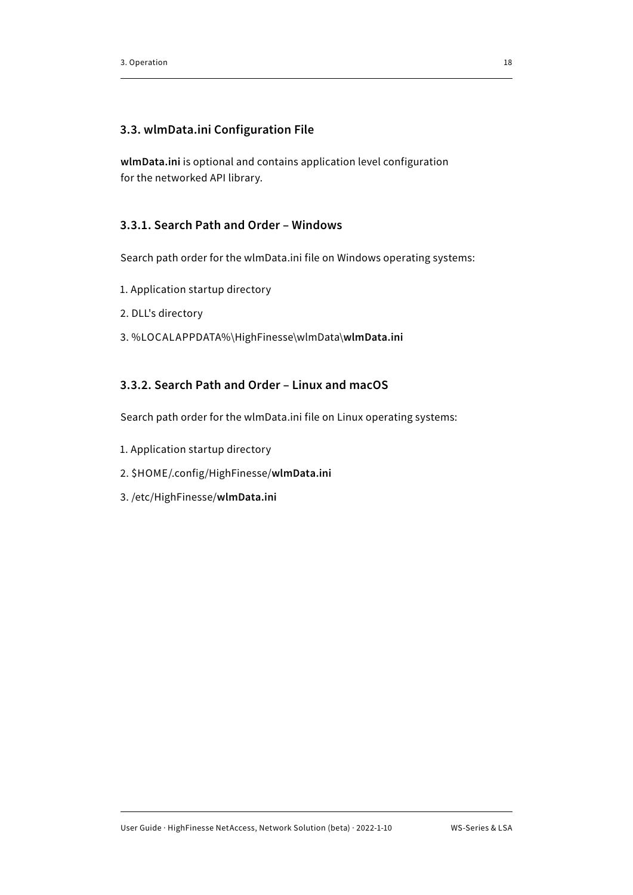### <span id="page-20-0"></span>**3.3. wlmData.ini Configuration File**

**wlmData.ini** is optional and contains application level configuration for the networked API library.

# **3.3.1. Search Path and Order – Windows**

Search path order for the wlmData.ini file on Windows operating systems:

- 1. Application startup directory
- 2. DLL's directory
- 3. %LOCALAPPDATA%\HighFinesse\wlmData\**wlmData.ini**

# **3.3.2. Search Path and Order – Linux and macOS**

Search path order for the wlmData.ini file on Linux operating systems:

- 1. Application startup directory
- 2. \$HOME/.config/HighFinesse/**wlmData.ini**
- 3. /etc/HighFinesse/**wlmData.ini**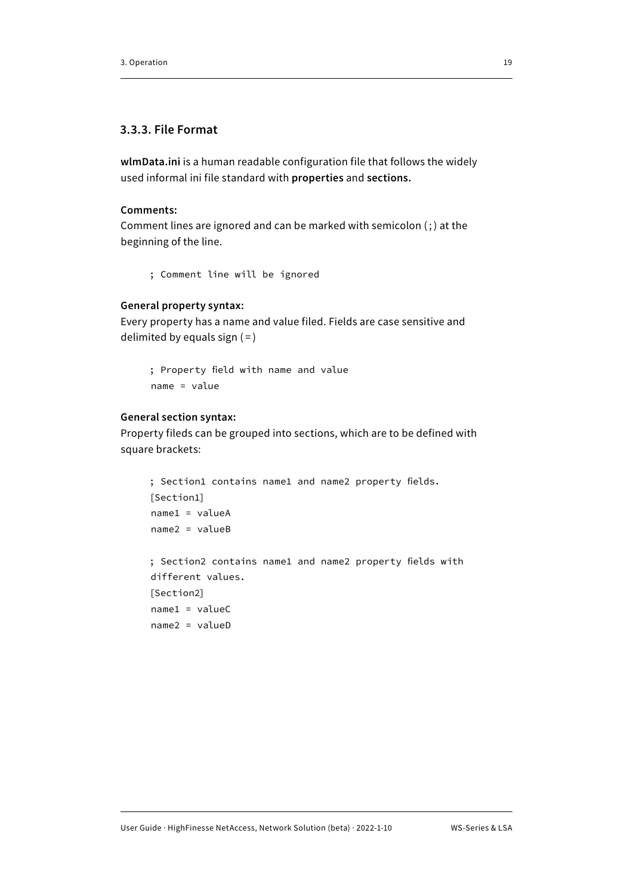### <span id="page-21-0"></span>**3.3.3. File Format**

**wlmData.ini** is a human readable configuration file that follows the widely used informal ini file standard with **properties** and **sections.**

#### **Comments:**

Comment lines are ignored and can be marked with semicolon  $($ ;) at the beginning of the line.

```
; Comment line will be ignored
```
#### **General property syntax:**

Every property has a name and value filed. Fields are case sensitive and delimited by equals sign  $( = )$ 

; Property field with name and value name = value

#### **General section syntax:**

name1 = valueC name2 = valueD

Property fileds can be grouped into sections, which are to be defined with square brackets:

```
; Section1 contains name1 and name2 property fields.
[Section1]
name1 = valueA
name2 = valueB
; Section2 contains name1 and name2 property fields with
different values.
[Section2]
```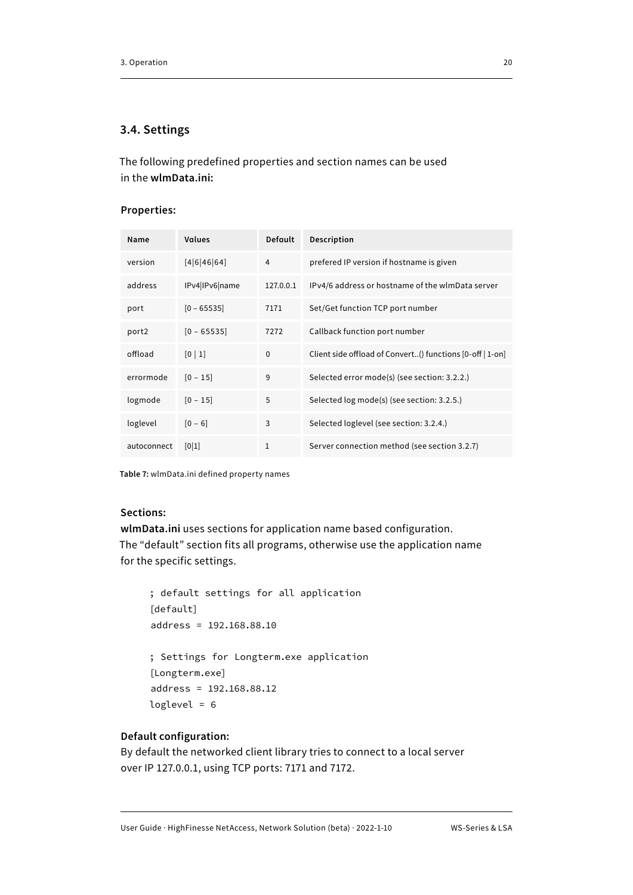#### <span id="page-22-0"></span>**3.4. Settings**

The following predefined properties and section names can be used in the **wlmData.ini:**

#### **Properties:**

| Name        | <b>Values</b>              | <b>Default</b> | Description                                               |
|-------------|----------------------------|----------------|-----------------------------------------------------------|
| version     | [4 6 46 64]                | 4              | prefered IP version if hostname is given                  |
| address     | IPv4 IPv6 name             | 127.0.0.1      | IPv4/6 address or hostname of the wimData server          |
| port        | $[0 - 65535]$              | 7171           | Set/Get function TCP port number                          |
| port2       | $[0 - 65535]$              | 7272           | Callback function port number                             |
| offload     | $\lceil 0 \rceil 1 \rceil$ | $\Omega$       | Client side offload of Convert() functions [0-off   1-on] |
| errormode   | $[0 - 15]$                 | 9              | Selected error mode(s) (see section: 3.2.2.)              |
| logmode     | $[0 - 15]$                 | 5              | Selected log mode(s) (see section: 3.2.5.)                |
| loglevel    | $[0 - 6]$                  | 3              | Selected loglevel (see section: 3.2.4.)                   |
| autoconnect | [0 1]                      | $\mathbf{1}$   | Server connection method (see section 3.2.7)              |

**Table 7:** wlmData.ini defined property names

#### **Sections:**

**wlmData.ini** uses sections for application name based configuration. The "default" section fits all programs, otherwise use the application name for the specific settings.

; default settings for all application [default] address = 192.168.88.10 ; Settings for Longterm.exe application [Longterm.exe] address = 192.168.88.12 loglevel = 6

#### **Default configuration:**

By default the networked client library tries to connect to a local server over IP 127.0.0.1, using TCP ports: 7171 and 7172.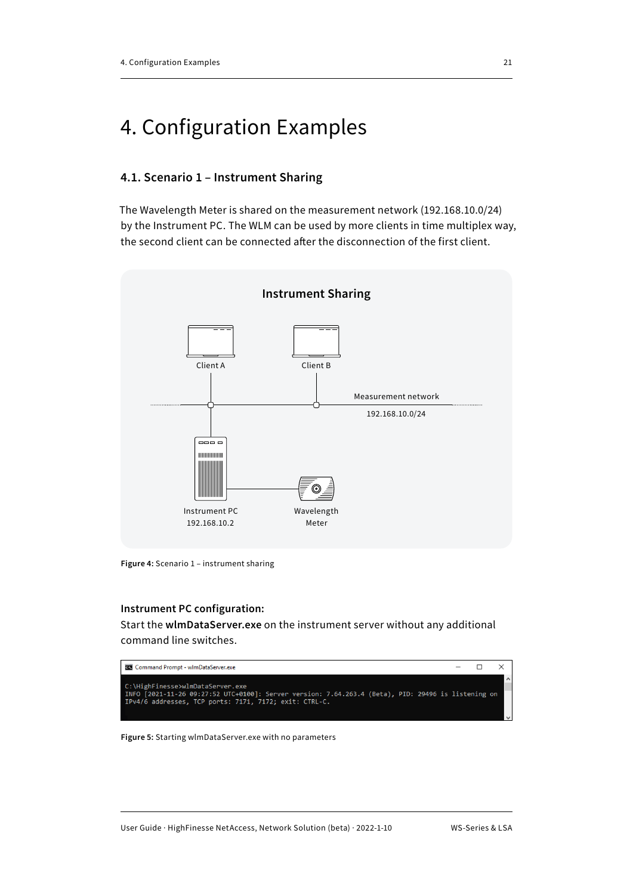# <span id="page-23-0"></span>4. Configuration Examples

#### **4.1. Scenario 1 – Instrument Sharing**

The Wavelength Meter is shared on the measurement network (192.168.10.0/24) by the Instrument PC. The WLM can be used by more clients in time multiplex way, the second client can be connected after the disconnection of the first client.



**Figure 4:** Scenario 1 – instrument sharing

#### **Instrument PC configuration:**

Start the **wlmDataServer.exe** on the instrument server without any additional command line switches.



**Figure 5:** Starting wlmDataServer.exe with no parameters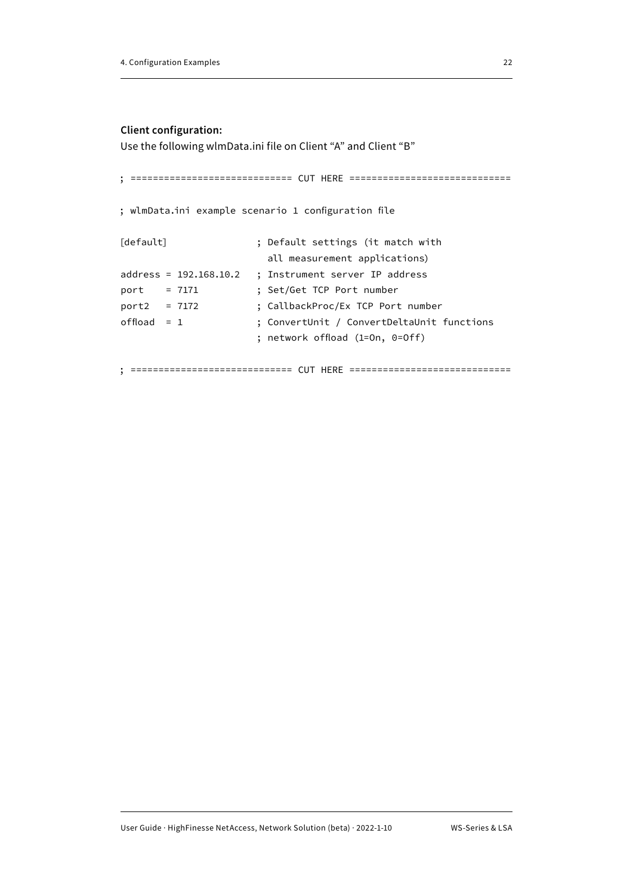#### **Client configuration:**

Use the following wlmData.ini file on Client "A" and Client "B"

```
; ============================= CUT HERE =============================
; wlmData.ini example scenario 1 configuration file
[default] \qquad \qquad ; Default settings (it match with
                        all measurement applications)
address = 192.168.10.2 ; Instrument server IP address
port = 7171 ; Set/Get TCP Port number
port2 = 7172 ; CallbackProc/Ex TCP Port number
offload = 1 ; ConvertUnit / ConvertDeltaUnit functions 
                      ; network offload (1=On, 0=Off)
```
; ============================= CUT HERE =============================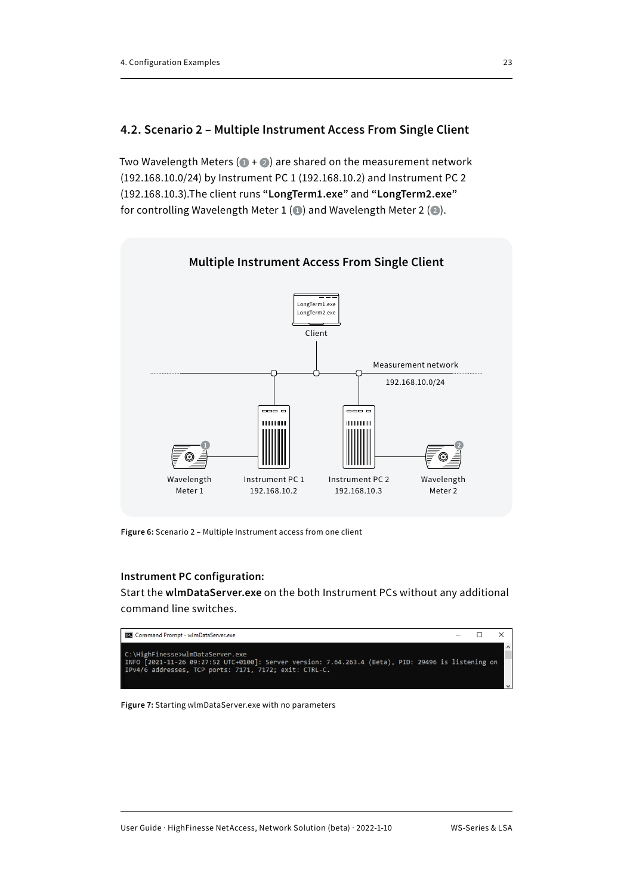#### <span id="page-25-0"></span>**4.2. Scenario 2 – Multiple Instrument Access From Single Client**

Two Wavelength Meters ( $\bullet$  +  $\bullet$ ) are shared on the measurement network (192.168.10.0/24) by Instrument PC 1 (192.168.10.2) and Instrument PC 2 (192.168.10.3).The client runs **"LongTerm1.exe"** and **"LongTerm2.exe"** for controlling Wavelength Meter 1 ( $\odot$ ) and Wavelength Meter 2 ( $\odot$ ).



**Figure 6:** Scenario 2 – Multiple Instrument access from one client

#### **Instrument PC configuration:**

Start the **wlmDataServer.exe** on the both Instrument PCs without any additional command line switches.



**Figure 7:** Starting wlmDataServer.exe with no parameters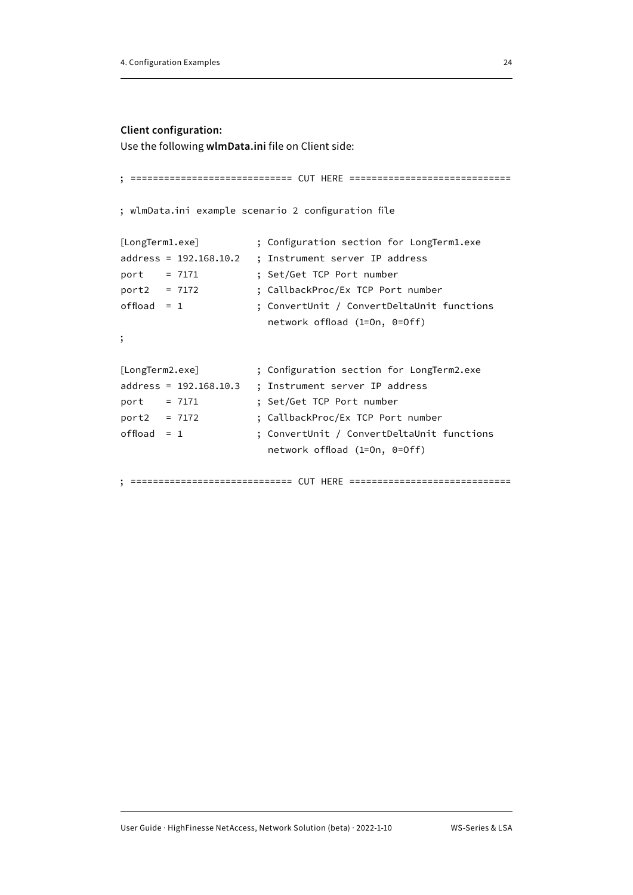#### **Client configuration:**

Use the following **wlmData.ini** file on Client side:

```
; ============================= CUT HERE =============================
; wlmData.ini example scenario 2 configuration file
[LongTerm1.exe] ; Configuration section for LongTerm1.exe
address = 192.168.10.2 ; Instrument server IP address
port = 7171 ; Set/Get TCP Port number 
port2 = 7172 ; CallbackProc/Ex TCP Port number
offload = 1 ; ConvertUnit / ConvertDeltaUnit functions
                       network offload (1=On, 0=Off)
;
[LongTerm2.exe] ; Configuration section for LongTerm2.exe
address = 192.168.10.3 ; Instrument server IP address
port = 7171 ; Set/Get TCP Port number 
port2 = 7172 ; CallbackProc/Ex TCP Port number
offload = 1 ; ConvertUnit / ConvertDeltaUnit functions
                       network offload (1=On, 0=Off)
```
; ============================= CUT HERE =============================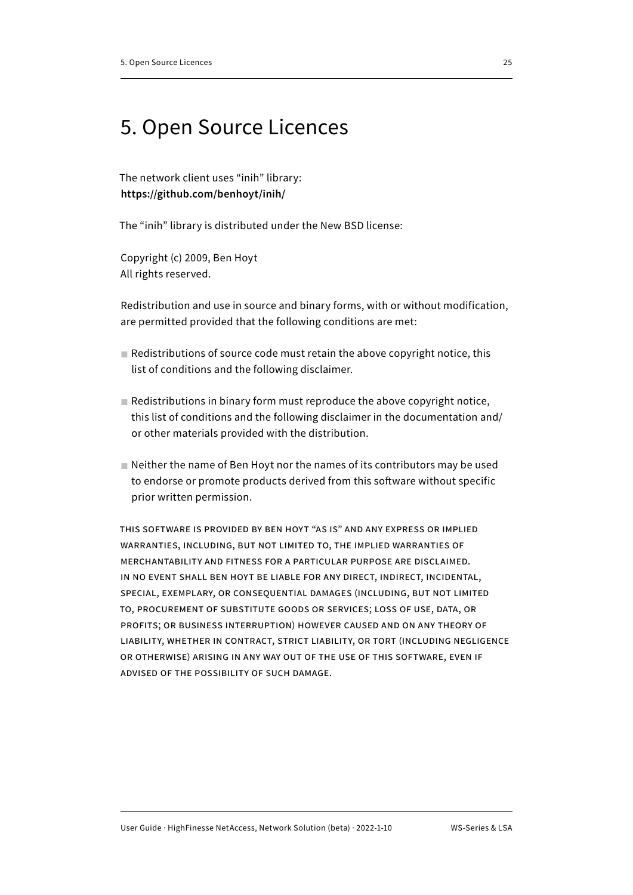# <span id="page-27-0"></span>5. Open Source Licences

The network client uses "inih" library: **https://github.com/benhoyt/inih/**

The "inih" library is distributed under the New BSD license:

Copyright (c) 2009, Ben Hoyt All rights reserved.

Redistribution and use in source and binary forms, with or without modification, are permitted provided that the following conditions are met:

- $\blacksquare$  Redistributions of source code must retain the above copyright notice, this list of conditions and the following disclaimer.
- $\blacksquare$  Redistributions in binary form must reproduce the above copyright notice, this list of conditions and the following disclaimer in the documentation and/ or other materials provided with the distribution.
- Neither the name of Ben Hoyt nor the names of its contributors may be used to endorse or promote products derived from this software without specific prior written permission.

This software is provided by Ben Hoyt "as is" and any express or implied warranties, including, but not limited to, the implied warranties of merchantability and fitness for a particular purpose are disclaimed. in no event shall Ben Hoyt be liable for any direct, indirect, incidental, special, exemplary, or consequential damages (including, but not limited to, procurement of substitute goods or services; loss of use, data, or profits; or business interruption) however caused and on any theory of liability, whether in contract, strict liability, or tort (including negligence or otherwise) arising in any way out of the use of this software, even if advised of the possibility of such damage.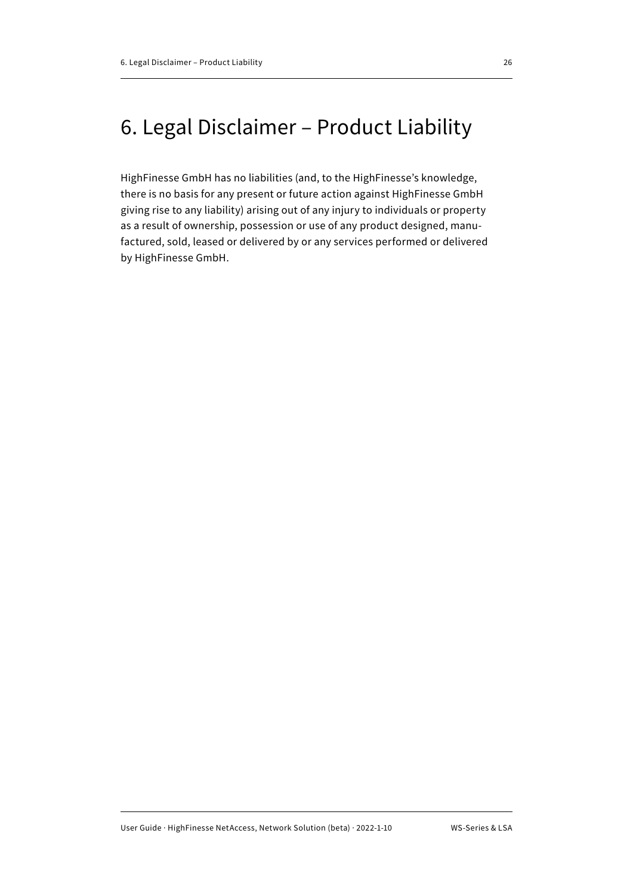# <span id="page-28-0"></span>6. Legal Disclaimer – Product Liability

HighFinesse GmbH has no liabilities (and, to the HighFinesse's knowledge, there is no basis for any present or future action against HighFinesse GmbH giving rise to any liability) arising out of any injury to individuals or property as a result of ownership, possession or use of any product designed, manufactured, sold, leased or delivered by or any services performed or delivered by HighFinesse GmbH.

User Guide · HighFinesse NetAccess, Network Solution (beta) · 2022-1-10 WS-Series & LSA